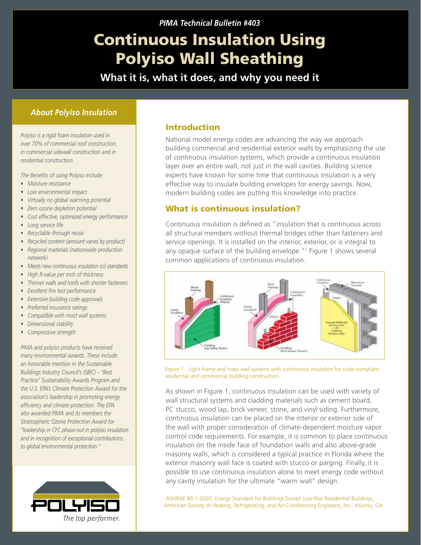# Continuous Insulation Using Polyiso Wall Sheathing

**What it is, what it does, and why you need it**

# *About Polyiso Insulation*

*Polyiso is a rigid foam insulation used in over 70% of commercial roof construction, in commercial sidewall construction and in residential construction.*

*The Benefits of using Polyiso include:*

- *Moisture resistance*
- *Low environmental impact*
- *Virtually no global warming potential*
- *Zero ozone depletion potential*
- *Cost effective, optimized energy performance*
- *Long service life*
- *Recyclable through reuse*
- *Recycled content (amount varies by product)*
- *Regional materials (nationwide production network)*
- *Meets new continuous insulation (ci) standards*
- *High R-value per inch of thickness*
- *Thinner walls and roofs with shorter fasteners*
- *Excellent fire test performance*
- *Extensive building code approvals*
- *Preferred insurance ratings*
- *Compatible with most wall systems*
- *Dimensional stability*
- *Compressive strength*

*PIMA and polyiso products have received many environmental awards. These include an honorable mention in the Sustainable Buildings Industry Council's (SBIC) - "Best Practice" Sustainability Awards Program and the U.S. EPA's Climate Protection Award for the association's leadership in promoting energy efficiency and climate protection. The EPA also awarded PIMA and its members the Stratospheric Ozone Protection Award for "leadership in CFC phase-out in polyiso insulation and in recognition of exceptional contributions to global environmental protection."*



# Introduction

National model energy codes are advancing the way we approach building commercial and residential exterior walls by emphasizing the use of continuous insulation systems, which provide a continuous insulation layer over an entire wall, not just in the wall cavities. Building science experts have known for some time that continuous insulation is a very effective way to insulate building envelopes for energy savings. Now, modern building codes are putting this knowledge into practice.

# What is continuous insulation?

Continuous insulation is defined as "insulation that is continuous across all structural members without thermal bridges other than fasteners and service openings. It is installed on the interior, exterior, or is integral to any opaque surface of the building envelope."1 Figure 1 shows several common applications of continuous insulation.



Figure 1. Light frame and mass wall systems with continuous insulation for code-compliant residential and commercial building construction.

As shown in Figure 1, continuous insulation can be used with variety of wall structural systems and cladding materials such as cement board, PC stucco, wood lap, brick veneer, stone, and vinyl siding. Furthermore, continuous insulation can be placed on the interior or exterior side of the wall with proper consideration of climate-dependent moisture vapor control code requirements. For example, it is common to place continuous insulation on the inside face of foundation walls and also above-grade masonry walls, which is considered a typical practice in Florida where the exterior masonry wall face is coated with stucco or parging. Finally, it is possible to use continuous insulation alone to meet energy code without any cavity insulation for the ultimate "warm wall" design.

1 ASHRAE 90.1-2007, Energy Standard for Buildings Except Low-Rise Residential Buildings, American Society of Heating, Refrigerating, and Air-Conditioning Engineers, Inc., Atlanta, GA.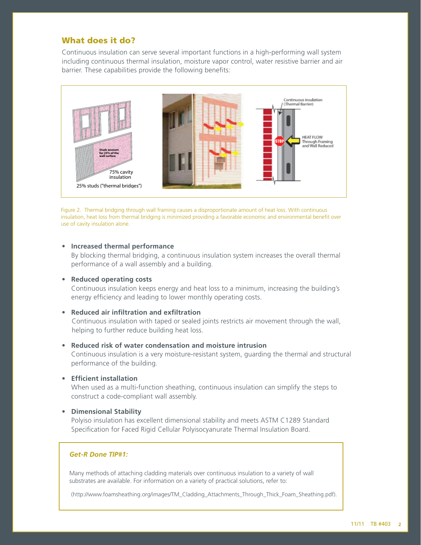# What does it do?

Continuous insulation can serve several important functions in a high-performing wall system including continuous thermal insulation, moisture vapor control, water resistive barrier and air barrier. These capabilities provide the following benefits:



Figure 2. Thermal bridging through wall framing causes a disproportionate amount of heat loss. With continuous insulation, heat loss from thermal bridging is minimized providing a favorable economic and environmental benefit over use of cavity insulation alone.

#### • **Increased thermal performance**

By blocking thermal bridging, a continuous insulation system increases the overall thermal performance of a wall assembly and a building.

#### • **Reduced operating costs**

Continuous insulation keeps energy and heat loss to a minimum, increasing the building's energy efficiency and leading to lower monthly operating costs.

#### • **Reduced air infiltration and exfiltration**

 Continuous insulation with taped or sealed joints restricts air movement through the wall, helping to further reduce building heat loss.

#### • **Reduced risk of water condensation and moisture intrusion**

Continuous insulation is a very moisture-resistant system, guarding the thermal and structural performance of the building.

• **Efficient installation** 

When used as a multi-function sheathing, continuous insulation can simplify the steps to construct a code-compliant wall assembly.

#### • **Dimensional Stability**

Polyiso insulation has excellent dimensional stability and meets ASTM C1289 Standard Specification for Faced Rigid Cellular Polyisocyanurate Thermal Insulation Board.

### *Get-R Done TIP#1:*

Many methods of attaching cladding materials over continuous insulation to a variety of wall substrates are available. For information on a variety of practical solutions, refer to:

(http://www.foamsheathing.org/images/TM\_Cladding\_Attachments\_Through\_Thick\_Foam\_Sheathing.pdf).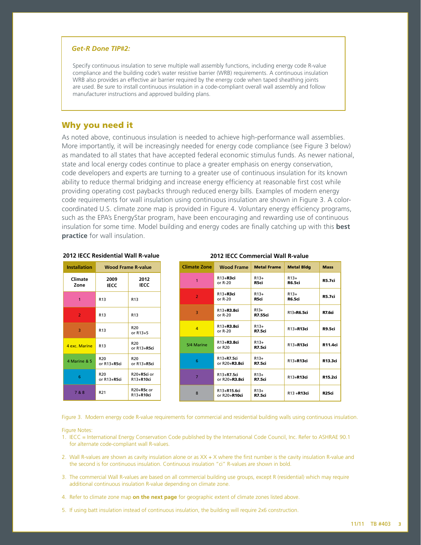#### *Get-R Done TIP#2:*

Specify continuous insulation to serve multiple wall assembly functions, including energy code R-value compliance and the building code's water resistive barrier (WRB) requirements. A continuous insulation WRB also provides an effective air barrier required by the energy code when taped sheathing joints are used. Be sure to install continuous insulation in a code-compliant overall wall assembly and follow manufacturer instructions and approved building plans.

## Why you need it

As noted above, continuous insulation is needed to achieve high-performance wall assemblies. More importantly, it will be increasingly needed for energy code compliance (see Figure 3 below) as mandated to all states that have accepted federal economic stimulus funds. As newer national, state and local energy codes continue to place a greater emphasis on energy conservation, code developers and experts are turning to a greater use of continuous insulation for its known ability to reduce thermal bridging and increase energy efficiency at reasonable first cost while providing operating cost paybacks through reduced energy bills. Examples of modern energy code requirements for wall insulation using continuous insulation are shown in Figure 3. A colorcoordinated U.S. climate zone map is provided in Figure 4. Voluntary energy efficiency programs, such as the EPA's EnergyStar program, have been encouraging and rewarding use of continuous insulation for some time. Model building and energy codes are finally catching up with this **best practice** for wall insulation.

| <b>Installation</b> | <b>Wood Frame R-value</b>       |                                 |  |
|---------------------|---------------------------------|---------------------------------|--|
| Climate<br>Zone     | 2009<br>IECC                    | 2012<br>IECC                    |  |
| 1                   | R <sub>13</sub>                 | R <sub>13</sub>                 |  |
| $\overline{2}$      | R <sub>13</sub>                 | R <sub>13</sub>                 |  |
| 3                   | R <sub>13</sub>                 | R <sub>20</sub><br>or $R13+5$   |  |
| 4 exc. Marine       | R <sub>13</sub>                 | R <sub>20</sub><br>or $R13+R5c$ |  |
| 4 Marine & 5        | R <sub>20</sub><br>or R13+R5ci  | R <sub>20</sub><br>or R13+R5ci  |  |
| 6                   | R <sub>20</sub><br>or $R13+R5c$ | $R20+R5ci$ or<br>R13+R10ci      |  |
| 7 & 8               | R <sub>21</sub>                 | $R20+R5c$ or<br>R13+R10ci       |  |

#### **2012 IECC Residential Wall R-value 2012 IECC Commercial Wall R-value**

| <b>Climate Zone</b> | <b>Wood Frame</b>           | <b>Metal Frame</b>       | <b>Metal Bidg</b>       | <b>Mass</b>       |
|---------------------|-----------------------------|--------------------------|-------------------------|-------------------|
| $\mathbf{1}$        | R13+R3ci<br>or $R-20$       | $R13+$<br>R5ci           | $R13+$<br><b>R6.5ci</b> | <b>R5.7ci</b>     |
| $\overline{2}$      | R13+R3ci<br>or $R-20$       | $R13+$<br>R5ci           | $R13+$<br><b>R6.5ci</b> | <b>R5.7ci</b>     |
| $\overline{3}$      | R13+R3.8ci<br>or $R-20$     | $R13+$<br><b>R7.55ci</b> | R13+R6.5ci              | R7.6ci            |
| $\overline{a}$      | R13+R3.8ci<br>or $R-20$     | $R13+$<br><b>R7.5ci</b>  | R13+R13ci               | <b>R9.5ci</b>     |
| 5/4 Marine          | R13+R3.8ci<br>or $R20$      | $R13+$<br><b>R7.5ci</b>  | R13+R13ci               | R11.4ci           |
| 6                   | R13+R7.5ci<br>or R20+R3.8ci | $R13+$<br><b>R7.5ci</b>  | R13+R13ci               | R13.3ci           |
| $\overline{7}$      | R13+R7.5ci<br>or R20+R3.8ci | $R13+$<br><b>R7.5ci</b>  | R13+R13ci               | R15.2ci           |
| 8                   | R13+R15.6ci<br>or R20+R10ci | $R13+$<br>R7.5ci         | R13+R13ci               | R <sub>25ci</sub> |

Figure 3. Modern energy code R-value requirements for commercial and residential building walls using continuous insulation.

#### Figure Notes:

- 1. IECC = International Energy Conservation Code published by the International Code Council, Inc. Refer to ASHRAE 90.1 for alternate code-compliant wall R-values.
- 2. Wall R-values are shown as cavity insulation alone or as XX + X where the first number is the cavity insulation R-value and the second is for continuous insulation. Continuous insulation "ci" R-values are shown in bold.
- 3. The commercial Wall R-values are based on all commercial building use groups, except R (residential) which may require additional continuous insulation R-value depending on climate zone.
- 4. Refer to climate zone map **on the next page** for geographic extent of climate zones listed above.
- 5. If using batt insulation instead of continuous insulation, the building will require 2x6 construction.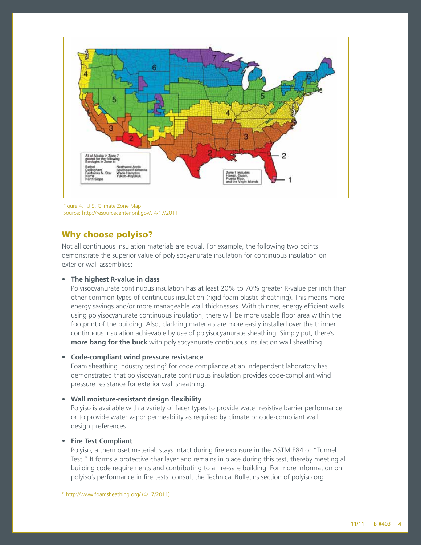

Figure 4. U.S. Climate Zone Map Source: http://resourcecenter.pnl.gov/, 4/17/2011

# Why choose polyiso?

Not all continuous insulation materials are equal. For example, the following two points demonstrate the superior value of polyisocyanurate insulation for continuous insulation on exterior wall assemblies:

#### • **The highest R-value in class**

Polyisocyanurate continuous insulation has at least 20% to 70% greater R-value per inch than other common types of continuous insulation (rigid foam plastic sheathing). This means more energy savings and/or more manageable wall thicknesses. With thinner, energy efficient walls using polyisocyanurate continuous insulation, there will be more usable floor area within the footprint of the building. Also, cladding materials are more easily installed over the thinner continuous insulation achievable by use of polyisocyanurate sheathing. Simply put, there's **more bang for the buck** with polyisocyanurate continuous insulation wall sheathing.

#### • **Code-compliant wind pressure resistance**

Foam sheathing industry testing<sup>2</sup> for code compliance at an independent laboratory has demonstrated that polyisocyanurate continuous insulation provides code-compliant wind pressure resistance for exterior wall sheathing.

#### • **Wall moisture-resistant design flexibility**

Polyiso is available with a variety of facer types to provide water resistive barrier performance or to provide water vapor permeability as required by climate or code-compliant wall design preferences.

#### • **Fire Test Compliant**

Polyiso, a thermoset material, stays intact during fire exposure in the ASTM E84 or "Tunnel Test." It forms a protective char layer and remains in place during this test, thereby meeting all building code requirements and contributing to a fire-safe building. For more information on polyiso's performance in fire tests, consult the Technical Bulletins section of polyiso.org.

<sup>2</sup> http://www.foamsheathing.org/ (4/17/2011)